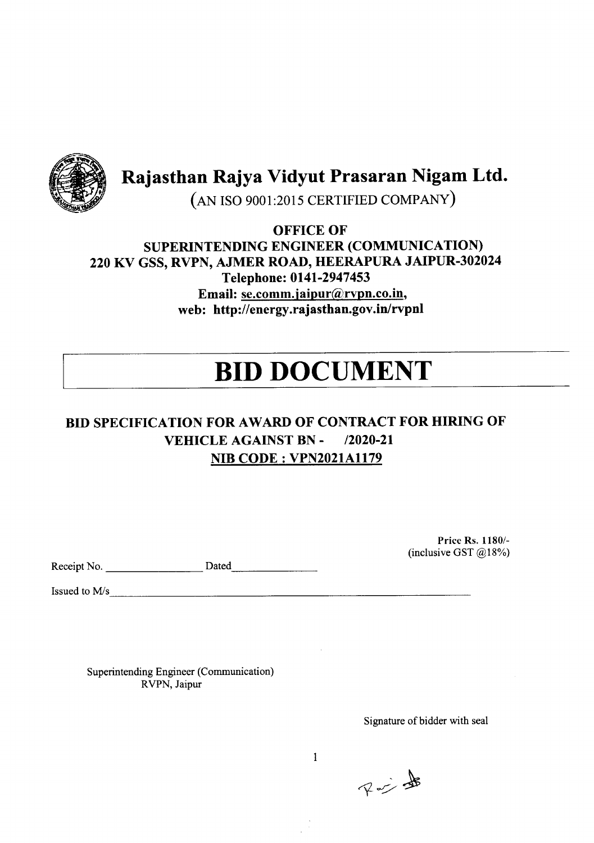

Rajasthan Rajya Vidyut Prasaran Nigam Ltd.

(AN ISO 9001:2015 CERTIFIED COMPANY)

OFFICE OF SUPERINTENDING ENGINEER (COMMUNICATION) 220 KV GSS, RVPN, AJMER ROAD, HEERAPURA JAIPUR-302024 Telephone: 0141-2947453 Email: se.comm.jaipur@rvpn.co.in. web: http://energy.rajasthan.gov.in/rvpnl

# **BID DOCUMENT**

# BID SPECIFICATION FOR AWARD OF CONTRACT FOR HIRING OF VEHICLE AGAINST BN - *12020-21* NIB CODE: VPN2021A1179

Receipt No. Dated \_

Issued to *Mls \_*

Superintending Engineer (Communication) RVPN, Jaipur

Price Rs. 1180/- (inclusive GST @18%)

Signature of bidder with seal

不少曲

1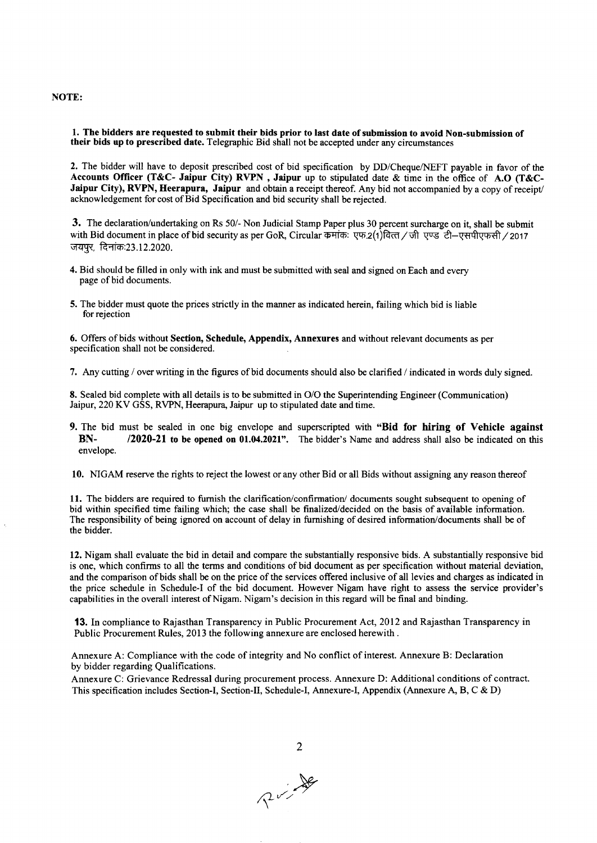NOTE:

1. The bidders are requested to submit their bids prior to last date of submission to avoid Non-submission of their bids up to prescribed date. Telegraphic Bid shall not be accepted under any circumstances

2. The bidder will have to deposit prescribed cost of bid specification by DD/Cheque/NEFT payable in favor of the Accounts Officer (T&C- Jaipur City) RVPN , Jaipur up to stipulated date & time in the office of A.O (T&C-Jaipur City), RVPN, Heerapura, Jaipur and obtain a receipt thereof. Any bid not accompanied by a copy of receipt/ acknowledgement for cost of Bid Specification and bid security shall be rejected.

3. The declaration/undertaking on Rs 50/- Non Judicial Stamp Paper plus 30 percent surcharge on it, shall be submit with Bid document in place of bid security as per GoR, Circular कमांक: एफ.2(1)वित्त / जी एण्ड टी–एसपीएफसी / 2017 जयपूर, दिनांक:23.12.2020.

- 4. Bid should be filled in only with ink and must be submitted with seal and signed on Each and every page of bid documents.
- 5. The bidder must quote the prices strictly in the manner as indicated herein, failing which bid is liable for rejection

6. Offers of bids without Section, Schedule, Appendix, Annexures and without relevant documents as per specification shall not be considered.

7. Any cutting / overwriting in the figures of bid documentsshould also be clarified / indicated in words duly signed.

8. Sealed bid complete with all details is to be submitted in O/O the Superintending Engineer (Communication) Jaipur, 220 KV GSS, RVPN, Heerapura, Jaipur up to stipulated date and time.

9. The bid must be sealed in one big envelope and superscripted with "Bid for hiring of Vehicle against BN- /2020-21 to be opened on 01.04.2021". The bidder's Name and address shall also be indicated on this envelope.

10. NIGAM reserve the rights to reject the lowest or any other Bid or all Bids without assigning any reason thereof

11. The bidders are required to furnish the clarification/confirmation/documents sought subsequent to opening of bid within specified time failing which; the case shall be finalized/decided on the basis of available information. The responsibility of being ignored on account of delay in furnishing of desired information/documents shall be of the bidder.

12.Nigam shall evaluate the bid in detail and compare the substantiallyresponsive bids. A substantiallyresponsive bid is one, which confirms to all the terms and conditions of bid document as per specification without material deviation, and the comparisonof bids shall be on the price of the services offered inclusive of all levies and charges as indicated in the price schedule in Schedule-I of the bid document. However Nigam have right to assess the service provider'S capabilities in the overall interest of Nigam. Nigam's decision in this regard will be final and binding.

13. In compliance to Rajasthan Transparency in Public Procurement Act, 2012 and Rajasthan Transparency in Public Procurement Rules, 2013 the following annexure are enclosed herewith.

Annexure A: Compliance with the code of integrity and No conflict of interest. Annexure B: Declaration by bidder regarding Qualifications.

Annexure C: Grievance Redressal during procurement process. Annexure D: Additional conditions of contract. This specification includes Section-I, Section-II, Schedule-I, Annexure-I, Appendix (Annexure A, B, C & D)

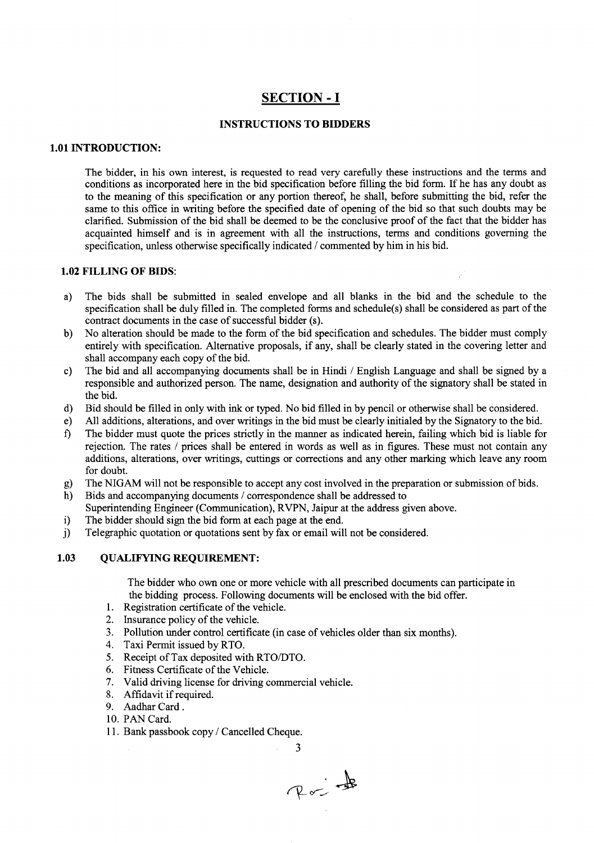# **SECTION - I**

#### **INSTRUCTIONS TO BIDDERS**

#### **1.01 INTRODUCTION:**

The bidder, in his own interest, is requested to read very carefully these instructions and the terms and conditions as incorporated here in the bid specification before filling the bid form. If he has any doubt as to the meaning of this specification or any portion thereof, he shall, before submitting the bid, refer the same to this office in writing before the specified date of opening of the bid so that such doubts may be clarified. Submission of the bid shall be deemed to be the conclusive proof of the fact that the bidder has acquainted himself and is in agreement with all the instructions, terms and conditions governing the specification, unless otherwise specifically indicated *I* commented by him in his bid.

#### **1.02 FILLING OF BIDS:**

- a) The bids shall be submitted in sealed envelope and all blanks in the bid and the schedule to the specification shall be duly filled in. The completed forms and schedule(s) shall be considered as part of the contract documents in the case of successful bidder (s).
- b) No alteration should be made to the form of the bid specification and schedules. The bidder must comply entirely with specification. Alternative proposals, if any, shall be clearly stated in the covering letter and shall accompany each copy of the bid.
- e) The bid and all accompanying documents shall be in Hindi *I* English Language and shall be signed by a responsible and authorized person. The name, designation and authority of the signatory shall be stated in the bid.
- d) Bid should be filled in only with ink or typed. No bid filled in by pencil or otherwise shall be considered.
- e) All additions, alterations, and over writings in the bid must be clearly initialed by the Signatory to the bid.
- f) The bidder must quote the prices strictly in the manner as indicated herein, failing which bid is liable for rejection. The rates *I* prices shall be entered in words as well as in figures. These must not contain any additions, alterations, over writings, cuttings or corrections and any other marking which leave any room for doubt.
- g) The NIGAM will not be responsible to accept any cost involved in the preparation or submission of bids.
- h) Bids and accompanying documents / correspondence shall be addressed to Superintending Engineer (Communication), RVPN, Jaipur at the address given above.
- i) The bidder should sign the bid form at each page at the end.
- j) Telegraphic quotation or quotations sent by fax or email will not be considered.

#### **1.03 QUALIFYING REQUIREMENT:**

The bidder who own one or more vehicle with all prescribed documents can participate in the bidding process. Following documents will be enclosed with the bid offer.

- 1. Registration certificate of the vehicle.
- 2. Insurance policy of the vehicle.
- 3. Pollution under control certificate (in case of vehicles older than six months).
- 4. Taxi Permit issued by RTO.
- 5. Receipt of Tax deposited with *RTO/DTO.*
- 6. Fitness Certificate of the Vehicle.
- 7. Valid driving license for driving commercial vehicle.
- 8. Affidavit if required.
- 9. Aadhar Card.
- 10. PAN Card.
- 11. Bank passbook copy *I* Cancelled Cheque.

Rojt

3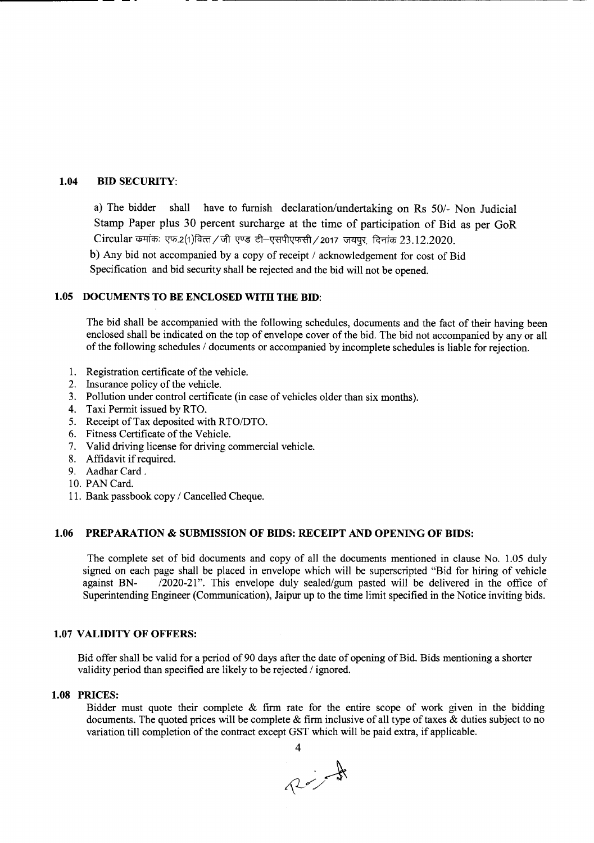#### 1.04 BID SECURITY:

a) The bidder shall have to furnish declaration/undertaking on Rs 50/- Non Judicial Stamp Paper plus 30 percent surcharge at the time of participation of Bid as per GoR  $Circular$  कमांकः एफ.2(1)वित्त/जी एण्ड टी-एसपीएफसी/2017 जयपुर, दिनांक 23.12.2020.

b) Any bid not accompanied by a copy of receipt / acknowledgement for cost of Bid Specification and bid security shall be rejected and the bid will not be opened.

-------- -- -- - -- - -------------------------------------------------------

#### 1.05 DOCUMENTS TO BE ENCLOSED WITH THE BID:

The bid shall be accompanied with the following schedules, documents and the fact of their having been enclosed shall be indicated on the top of envelope cover of the bid. The bid not accompanied by any or all of the following schedules / documents or accompanied by incomplete schedules is liable for rejection.

- 1. Registration certificate of the vehicle.
- 2. Insurance policy of the vehicle.
- 3. Pollution under control certificate (in case of vehicles older than six months).
- 4. Taxi Permit issued by RTO.
- 5. Receipt of Tax deposited with *RTO/DTO*.
- 6. Fitness Certificate of the Vehicle.
- 7. Valid driving license for driving commercial vehicle.
- 8. Affidavit if required.
- 9. Aadhar Card.
- 10. PAN Card.
- 11. Bank passbook copy / Cancelled Cheque.

#### 1.06 PREPARATION & SUBMISSION OF BIDS: RECEIPT AND OPENING OF BIDS:

The complete set of bid documents and copy of all the documents mentioned in clause No. 1.05 duly signed on each page shall be placed in envelope which will be superscripted "Bid for hiring of vehicle against BN- /2020-21". This envelope duly sealed/gum pasted will be delivered in the office of Superintending Engineer (Communication), Jaipur up to the time limit specified in the Notice inviting bids.

#### 1.07 VALIDITY OF OFFERS:

Bid offer shall be valid for a period of 90 days after the date of opening of Bid. Bids mentioning a shorter validity period than specified are likely to be rejected / ignored.

#### 1.08 PRICES:

Bidder must quote their complete  $\&$  firm rate for the entire scope of work given in the bidding documents. The quoted prices will be complete  $\&$  firm inclusive of all type of taxes  $\&$  duties subject to no variation till completion of the contract except GST which will be paid extra, if applicable.

4  $\sim$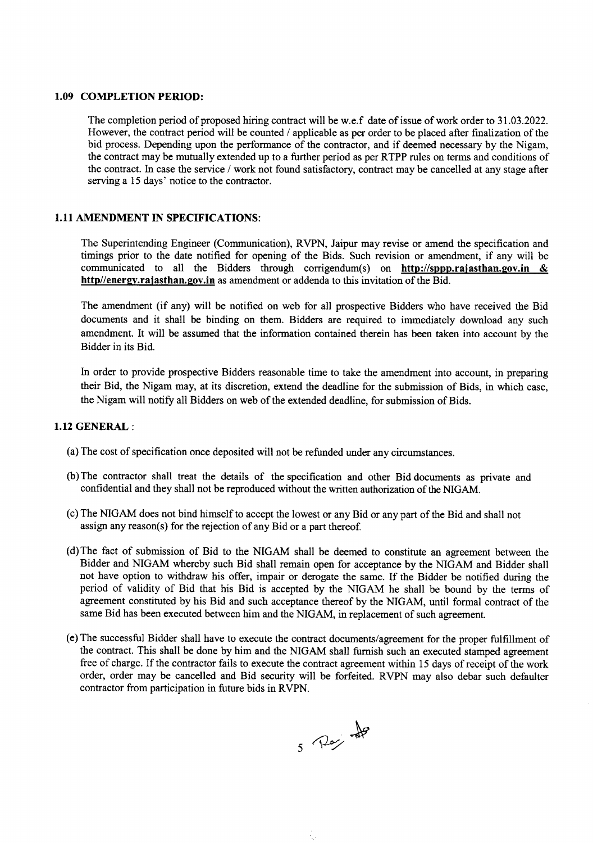#### 1.09 COMPLETION PERIOD:

The completion period of proposed hiring contract will be w.e.f date of issue of work order to 31.03.2022. However, the contract period will be counted / applicable as per order to be placed after finalizationof the bid process. Depending upon the performance of the contractor, and if deemed necessary by the Nigam, the contract may be mutually extendedup to a further period as per RTPP rules on terms and conditions of the contract. Incase the service / work not found satisfactory, contract may be cancelled at any stage after serving a 15 days' notice to the contractor.

#### 1.11 AMENDMENT IN SPECIFICATIONS:

The Superintending Engineer (Communication), RVPN, Jaipur may revise or amend the specification and timings prior to the date notified for opening of the Bids. Such revision or amendment, if any will be communicated to all the Bidders through corrigendum(s) on http://sppp.rajasthan.gov.in & http//energy.rajasthan.gov.in as amendment or addenda to this invitation of the Bid.

The amendment (if any) will be notified on web for all prospective Bidders who have received the Bid documents and it shall be binding on them. Bidders are required to immediately download any such amendment. It will be assumed that the information contained therein has been taken into account by the Bidder in its Bid.

In order to provide prospective Bidders reasonable time to take the amendment into account, in preparing their Bid, the Nigam may, at its discretion, extend the deadline for the submission of Bids, in which case, the Nigam will notify all Bidders on web of the extended deadline, for submission of Bids.

#### 1.12 GENERAL :

- (a) The cost of specification once deposited will not be refunded under any circumstances.
- (b)The contractor shall treat the details of the specification and other Bid documents as private and confidential and they shall not be reproduced without the written authorization of the NIGAM.
- (c)The NIGAM does not bind himself to accept the lowest or any Bid or any part of the Bid and shall not assign any reason(s) for the rejection of any Bid or a part thereof.
- (d)The fact of submission of Bid to the NIGAM shall be deemed to constitute an agreement between the Bidder and NIGAM whereby such Bid shall remain open for acceptance by the NIGAM and Bidder shall not have option to withdraw his offer, impair or derogate the same. If the Bidder be notified during the period of validity of Bid that his Bid is accepted by the NIGAM he shall be bound by the terms of agreement constituted by his Bid and such acceptance thereof by the NIGAM, until formal contract of the same Bid has been executed between him and the NIGAM, in replacement of such agreement.
- (e)The successful Bidder shall have to execute the contract documents/agreementfor the proper fulfillment of the contract. This shall be done by him and the NIGAM shall furnish such an executed stamped agreement free of charge. If the contractor fails to execute the contract agreement within 15 days of receipt of the work order, order may be cancelled and Bid security will be forfeited. RVPN may also debar such defaulter contractor from participation in future bids in RVPN.

х.

5 Pari de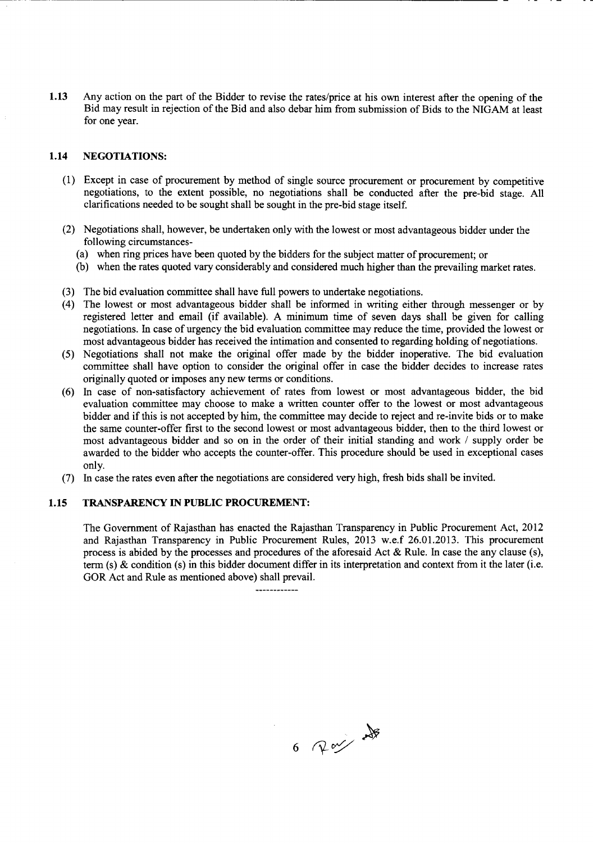**1.13** Any action on the part of the Bidder to revise the rates/price at his own interest after the opening of the Bid may result in rejection of the Bid and also debar him from submission of Bids to the NIGAM at least for one year.

#### **1.14 NEGOTIATIONS:**

---\_ .. - ----.-.-------~-~----------------------------------

- (1) Except in case of procurement by method of single source procurement or procurement by competitive negotiations, to the extent possible, no negotiations shall be conducted after the pre-bid stage. All clarifications needed to be sought shall be sought in the pre-bid stage itself.
- (2) Negotiations shall, however, be undertaken only with the lowest or most advantageous bidder under the following circumstances-
	- (a) when ring prices have been quoted by the bidders for the subject matter of procurement; or
	- (b) when the rates quoted vary considerably and considered much higher than the prevailing market rates.
- (3) The bid evaluation committee shall have full powers to undertake negotiations.
- (4) The lowest or most advantageous bidder shall be informed in writing either through messenger or by registered letter and email (if available). A minimum time of seven days shall be given for calling negotiations. Incase of urgency the bid evaluation committee may reduce the time, provided the lowest or most advantageous bidder has received the intimation and consented to regarding holding of negotiations.
- (5) Negotiations shall not make the original offer made by the bidder inoperative. The bid evaluation committee shall have option to consider the original offer in case the bidder decides to increase rates originally quoted or imposes any new terms or conditions.
- (6) In case of non-satisfactory achievement of rates from lowest or most advantageous bidder, the bid evaluation committee may choose to make a written counter offer to the lowest or most advantageous bidder and if this is not accepted by him, the committee may decide to reject and re-invite bids or to make the same counter-offer first to the second lowest or most advantageous bidder, then to the third lowest or most advantageous bidder and so on in the order of their initial standing and work / supply order be awarded to the bidder who accepts the counter-offer. This procedure should be used in exceptional cases only.
- (7) Incase the rates even after the negotiations are considered very high, fresh bids shall be invited.

#### **1.15 TRANSPARENCY IN PUBLIC PROCUREMENT:**

The Government of Rajasthan has enacted the Rajasthan Transparency in Public Procurement Act, 2012 and Rajasthan Transparency in Public Procurement Rules, 2013 w.e.f 26.01.2013. This procurement process is abided by the processes and procedures of the aforesaid Act  $\&$  Rule. In case the any clause (s), term (s) & condition (s) in this bidder document differ in its interpretation and context from it the later (i.e. GOR Act and Rule as mentioned above) shall prevail.

 $6$  Ray  $\frac{1}{2}$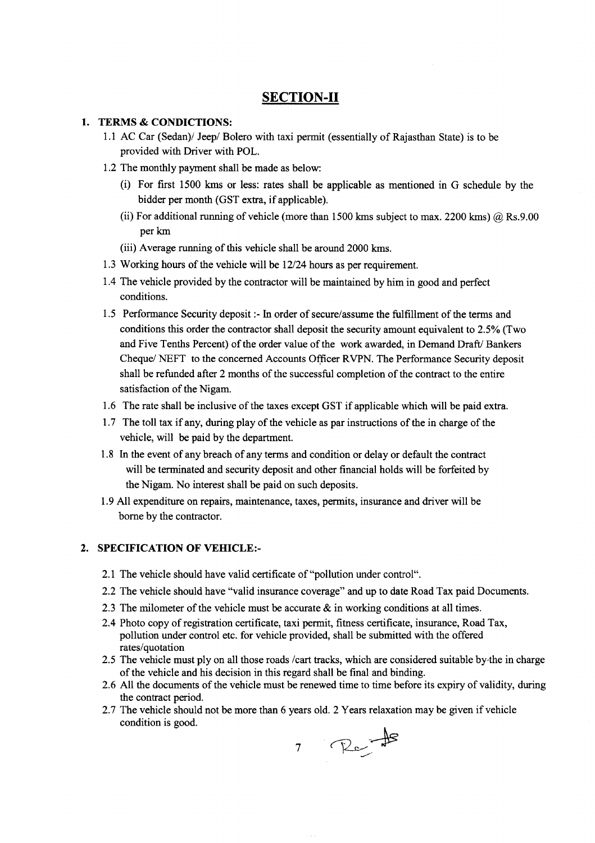## **SECTION-II**

#### 1. TERMS& CONDICTIONS:

- 1.1 AC Car (Sedan)/ Jeep/ Bolero with taxi permit (essentially of Rajasthan State) is to be provided with Driver with POL.
- 1.2 The monthly payment shall be made as below:
	- (i) For first 1500 kms or less: rates shall be applicable as mentioned in G schedule by the bidder per month (GST extra, if applicable).
	- (ii) For additional running of vehicle (more than 1500 kms subject to max. 2200 kms)  $\omega$  Rs.9.00 perkm
	- (iii) Average running of this vehicle shall be around 2000 kms.
- 1.3 Working hours of the vehicle will be 12/24 hours as per requirement.
- 1.4 The vehicle provided by the contractor will be maintained by him in good and perfect conditions.
- 1.5 Performance Security deposit :- In order of secure/assume the fulfillment of the terms and conditions this order the contractor shall deposit the security amount equivalent to 2.5% (Two and Five Tenths Percent) of the order value of the work awarded, in Demand Draft/ Bankers Cheque/ NEFT to the concerned Accounts Officer RVPN. The Performance Security deposit shall be refunded after 2 months of the successful completion of the contract to the entire satisfaction of the Nigam.
- 1.6 The rate shall be inclusive of the taxes except GST if applicable which will be paid extra.
- 1.7 The toll tax if any, during play of the vehicle as par instructions of the in charge of the vehicle, will be paid by the department.
- 1.8 In the event of any breach of any terms and condition or delay or default the contract will be terminated and security deposit and other financial holds will be forfeited by the Nigam. No interest shall be paid on such deposits.
- 1.9 All expenditure on repairs, maintenance, taxes, permits, insurance and driver will be borne by the contractor.

#### 2. SPECIFICATION OF VEHICLE:-

- 2.1 The vehicle should have valid certificate of "pollution under control".
- 2.2 The vehicle should have "valid insurance coverage" and up to date Road Tax paid Documents.
- 2.3 The milometer of the vehicle must be accurate  $\&$  in working conditions at all times.
- 2.4 Photo copy of registration certificate, taxi permit, fitness certificate, insurance, Road Tax, pollution under control etc. for vehicle provided, shall be submitted with the offered rates/quotation
- 2.5 The vehicle must ply on all those roads /cart tracks, which are considered suitable by-the in charge of the vehicle and his decision in this regard shall be final and binding.
- 2.6 All the documents of the vehicle must be renewed time to time before its expiry of validity, during the contract period.
- 2.7 The vehicle should not be more than 6 years old. 2 Years relaxation may be given if vehicle condition is good.

7 Rents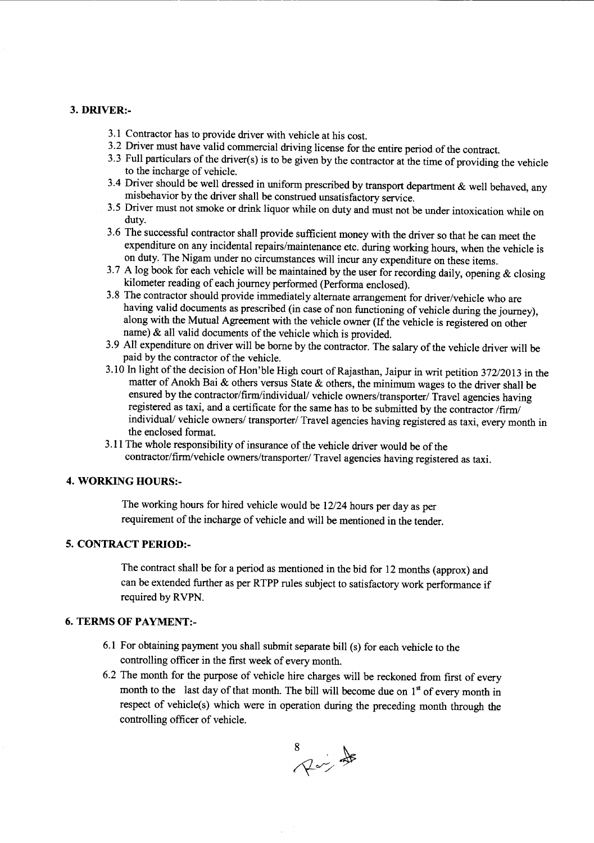#### 3. DRIVER:-

- 3.1 Contractor has to provide driver with vehicle at his cost.
- 3.2 Driver must have valid commercial driving license for the entire period of the contract.
- 3.3 Full particulars of the driver(s) is to be given by the contractor at the time of providing the vehicle to the incharge of vehicle.
- 3.4 Driver should be well dressed in uniform prescribed by transport department & well behaved, any misbehavior by the driver shall be construed unsatisfactory service.
- 3.5 Driver must not smoke or drink liquor while on duty and must not be under intoxication while on duty.
- 3.6 The successful contractor shall provide sufficient money with the driver so that he can meet the expenditure on any incidental repairs/maintenance etc. during working hours, when the vehicle is on duty. The Nigam under no circumstances will incur any expenditure on these items.
- 3.7 A log book for each vehicle will be maintained by the user for recording daily, opening  $\&$  closing kilometer reading of each journey performed (Performa enclosed).
- 3.8 The contractor should provide immediately alternate arrangement for driver/vehicle who are having valid documents as prescribed (in case of non functioning of vehicle during the journey), along with the Mutual Agreement with the vehicle owner (If the vehicle is registered on other name) & all valid documents of the vehicle which is provided.
- 3.9 All expenditure on driver will be borne by the contractor. The salary of the vehicle driver will be paid by the contractor of the vehicle.
- 3.10 Inlight of the decision of Hon'ble High court of Rajasthan, Jaipur in writ petition 372/2013 in the matter of Anokh Bai & others versus State & others, the minimum wages to the driver shall be ensured by the contractor/firm/individual/ vehicle owners/transporter/ Travel agencies having registered as taxi, and a certificate for the same has to be submitted by the contractor /firm/ individual/ vehicle owners/ transporter/ Travel agencies having registered as taxi, every month in the enclosed format.
- 3.11 The whole responsibility of insurance of the vehicle driver would be of the contractor/firm/vehicle owners/transporter/ Travel agencies having registered as taxi.

#### 4. WORKING HOURS:-

The working hours for hired vehicle would be 12/24 hours per day as per requirement of the incharge of vehicle and will be mentioned in the tender.

## 5. CONTRACT PERIOD:-

The contract shall be for a period as mentioned in the bid for 12 months (approx) and can be extended further as per RTPP rules subject to satisfactory work performance if required by RVPN.

#### 6. TERMS OF PAYMENT:-

- 6.1 For obtaining payment you shall submit separate bill (s) for each vehicle to the controlling officer in the first week of every month.
- 6.2 The month for the purpose of vehicle hire charges will be reckoned from first of every month to the last day of that month. The bill will become due on  $1<sup>st</sup>$  of every month in respect of vehicle(s) which were in operation during the preceding month through the controlling officer of vehicle.

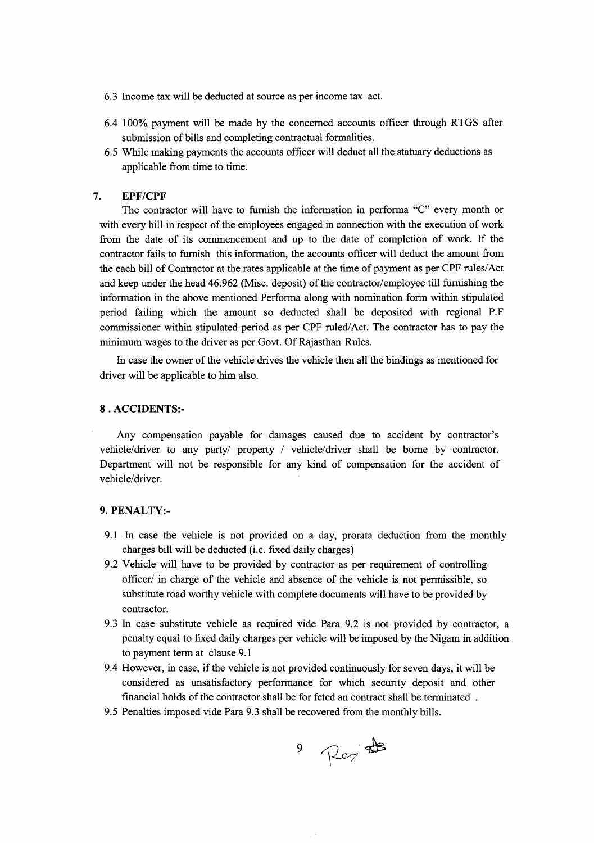- 6.3 Income tax will be deducted at source as per income tax act.
- 6.4 100% payment will be made by the concerned accounts officer through RTGS after submission of bills and completing contractual formalities.
- 6.5 While making payments the accounts officer will deduct all the statuary deductions as applicable from time to time.

#### **7. EPF/CPF**

The contractor will have to furnish the information in performa "C" every month or with every bill in respect of the employees engaged in connection with the execution of work from the date of its commencement and up to the date of completion of work. If the contractor fails to furnish this information, the accounts officer will deduct the amount from the each bill of Contractor at the rates applicable at the time of payment as per CPF rules/Act and keep under the head 46.962 (Misc. deposit) of the contractor/employee till furnishing the information in the above mentioned Performa along with nomination form within stipulated period failing which the amount so deducted shall be deposited with regional P.F commissioner within stipulated period as per CPF ruled/Act. The contractor has to pay the minimum wages to the driver as per Govt. Of Rajasthan Rules.

In case the owner of the vehicle drives the vehicle then all the bindings as mentioned for driver will be applicable to him also.

#### 8 . **ACCIDENTS:-**

Any compensation payable for damages caused due to accident by contractor's vehicle/driver to any party/ property / vehicle/driver shall be borne by contractor. Department will not be responsible for any kind of compensation for the accident of vehicle/driver.

#### **9. PENALTY:-**

- 9.1 In case the vehicle is not provided on a day, prorata deduction from the monthly charges bill will be deducted (i.c. fixed daily charges)
- 9.2 Vehicle will have to be provided by contractor as per requirement of controlling officer/ in charge of the vehicle and absence of the vehicle is not permissible, so substitute road worthy vehicle with complete documents will have to be provided by contractor.
- 9.3 In case substitute vehicle as required vide Para 9.2 is not provided by contractor, a penalty equal to fixed daily charges per vehicle will be imposed by the Nigam in addition to payment term at clause 9.1
- 9.4 However, in case, if the vehicle is not provided continuously for seven days, it will be considered as unsatisfactory performance for which security deposit and other financial holds of the contractor shall be for feted an contract shall be terminated .
- 9.5 Penalties imposed vide Para 9.3 shall be recovered from the monthly bills.

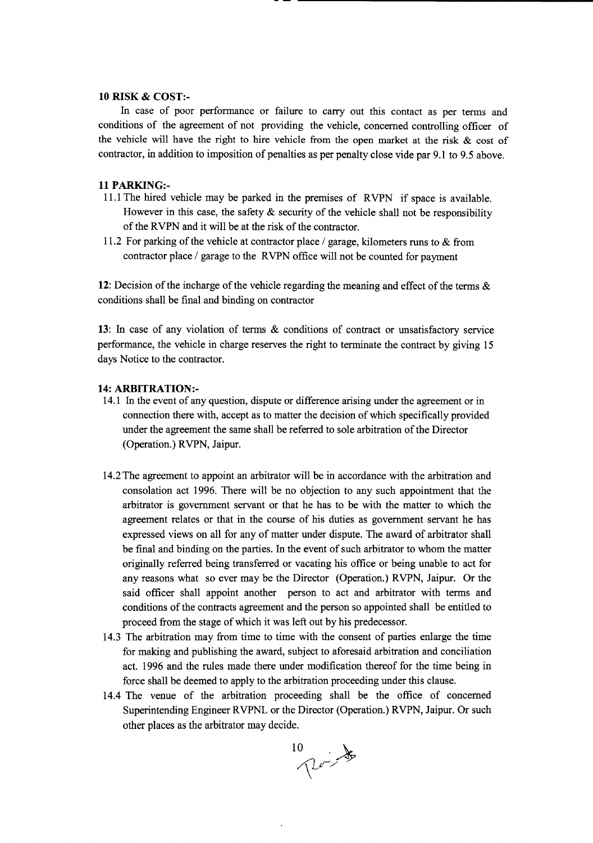#### **10** RISK & COST:-

In case of poor performance or failure to carry out this contact as per terms and conditions of the agreement of not providing the vehicle, concerned controlling officer of the vehicle will have the right to hire vehicle from the open market at the risk  $\&$  cost of contractor, in addition to imposition of penalties as per penalty close vide par 9.1 to 9.5 above.

#### 11PARKING:-

- 11.1 The hired vehicle may be parked in the premises of RVPN if space is available. However in this case, the safety  $\&$  security of the vehicle shall not be responsibility of the RVPN and it will be at the risk of the contractor.
- 11.2 For parking of the vehicle at contractor place / garage, kilometers runs to & from contractor place / garage to the RVPN office will not be counted for payment

12: Decision of the incharge of the vehicle regarding the meaning and effect of the terms & conditions shall be final and binding on contractor

13: In case of any violation of terms & conditions of contract or unsatisfactory service performance, the vehicle in charge reserves the right to terminate the contract by giving 15 days Notice to the contractor.

#### 14: ARBITRATION:-

- 14.1 In the event of any question, dispute or difference arising under the agreement or in connection there with, accept as to matter the decision of which specifically provided under the agreement the same shall be referred to sole arbitration of the Director (Operation.) RVPN, Jaipur.
- 14.2 The agreement to appoint an arbitrator will be in accordance with the arbitration and consolation act 1996. There will be no objection to any such appointment that the arbitrator is government servant or that he has to be with the matter to which the agreement relates or that in the course of his duties as government servant he has expressed views on all for any of matter under dispute. The award of arbitrator shall be final and binding on the parties. In the event of such arbitrator to whom the matter originally referred being transferred or vacating his office or being unable to act for any reasons what so ever may be the Director (Operation.) RVPN, Jaipur. Or the said officer shall appoint another person to act and arbitrator with terms and conditions of the contracts agreement and the person so appointed shall be entitled to proceed from the stage of which it was left out by his predecessor.
- 14.3 The arbitration may from time to time with the consent of parties enlarge the time for making and publishing the award, subject to aforesaid arbitration and conciliation act. 1996 and the rules made there under modification thereof for the time being in force shall be deemed to apply to the arbitration proceeding under this clause.
- 14.4 The venue of the arbitration proceeding shall be the office of concerned Superintending Engineer RVPNL or the Director (Operation.) RVPN, Jaipur. Or such other places as the arbitrator may decide.

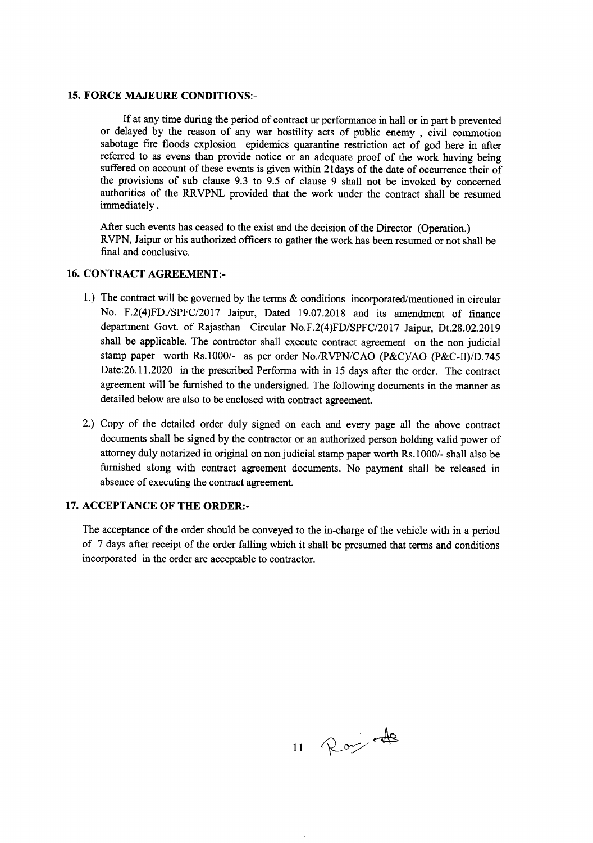#### **15. FORCE MAJEURE CONDITIONS:-**

If at any time during the period of contract ur performance inhall or in part b prevented or delayed by the reason of any war hostility acts of public enemy , civil commotion sabotage fire floods explosion epidemics quarantine restriction act of god here in after referred to as evens than provide notice or an adequate proof of the work having being suffered on account of these events is given within 21days of the date of occurrence their of the provisions of sub clause 9.3 to 9.5 of clause 9 shall not be invoked by concerned authorities of the RRVPNL provided that the work under the contract shall be resumed immediately.

After such events has ceased to the exist and the decision of the Director (Operation.) RVPN, Jaipur or his authorized officers to gather the work has been resumed or not shall be final and conclusive.

#### **16. CONTRACT AGREEMENT:-**

- 1.) The contract will be governed by the terms & conditions incorporated/mentioned in circular No. *F.2(4)FD.lSPFC/2017* Jaipur, Dated 19.07.2018 and its amendment of finance department Govt. of Rajasthan Circular *No.F.2(4)FD/SPFC/2017* Jaipur, Dt.28.02.2019 shall be applicable. The contractor shall execute contract agreement on the non judicial stamp paper worth *Rs.1000/-* as per order *No./RVPN/CAO* (P&C)/AO (P&C-II)/D.745 Date:26.11.2020 in the prescribed Performa with in 15 days after the order. The contract agreement will be furnished to the undersigned. The following documents in the manner as detailed below are also to be enclosed with contract agreement.
- 2.) Copy of the detailed order duly signed on each and every page all the above contract documents shall be signed by the contractor or an authorized person holding valid power of attorney duly notarized in original on non judicial stamp paper worth Rs.1000/- shall also be furnished along with contract agreement documents. No payment shall be released in absence of executing the contract agreement.

#### **17. ACCEPTANCE OF THE ORDER:-**

The acceptance of the order should be conveyed to the in-charge of the vehicle with in a period of 7 days after receipt of the order falling which it shall be presumed that terms and conditions incorporated in the order are acceptable to contractor.

11 Roy 48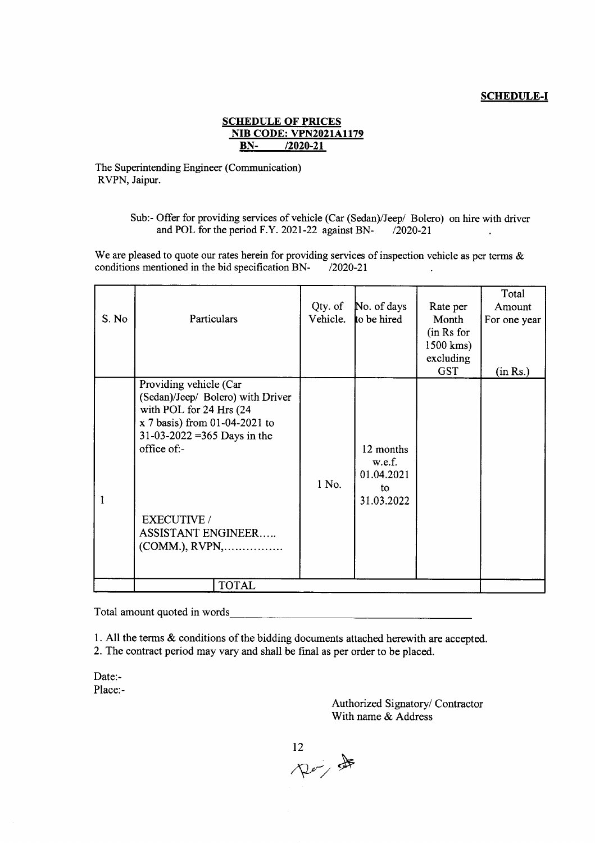#### **SCHEDULE-I**

#### **SCHEDULE OF PRICES NIB CODE: VPN2021A1179 BN-** *12020-21*

The Superintending Engineer (Communication) RVPN, Jaipur.

> Sub:- Offer for providing services of vehicle (Car (Sedan)/Jeep/ Bolero) on hire with driver and POL for the period F.Y. 2021-22 against BN- /2020-21  $\ddot{\phantom{a}}$

We are pleased to quote our rates herein for providing services of inspection vehicle as per terms  $\&$ conditions mentioned in the bid specification BN- $/2020-21$ 

| S. No | Particulars                                                                                                                                                                                                                                            | Qty. of<br>Vehicle. | No. of days<br>to be hired                            | Rate per<br>Month<br>(in Rs for<br>1500 kms)<br>excluding<br>GST | Total<br>Amount<br>For one year<br>(in Rs.) |  |  |
|-------|--------------------------------------------------------------------------------------------------------------------------------------------------------------------------------------------------------------------------------------------------------|---------------------|-------------------------------------------------------|------------------------------------------------------------------|---------------------------------------------|--|--|
|       | Providing vehicle (Car<br>(Sedan)/Jeep/ Bolero) with Driver<br>with POL for 24 Hrs (24<br>$x$ 7 basis) from 01-04-2021 to<br>31-03-2022 = 365 Days in the<br>$of$ fice of:-<br><b>EXECUTIVE</b> /<br><b>ASSISTANT ENGINEER</b><br>$(COMM.)$ , $RVPN$ , | 1 No.               | 12 months<br>w.e.f.<br>01.04.2021<br>to<br>31.03.2022 |                                                                  |                                             |  |  |
|       | <b>TOTAL</b>                                                                                                                                                                                                                                           |                     |                                                       |                                                                  |                                             |  |  |

Total amount quoted in words. \_

1. All the terms & conditions of the bidding documents attached herewith are accepted.

2. The contract period may vary and shall be final as per order to be placed.

Date:- Place:-

> Authorized Signatory/ Contractor With name & Address

12 /\\\v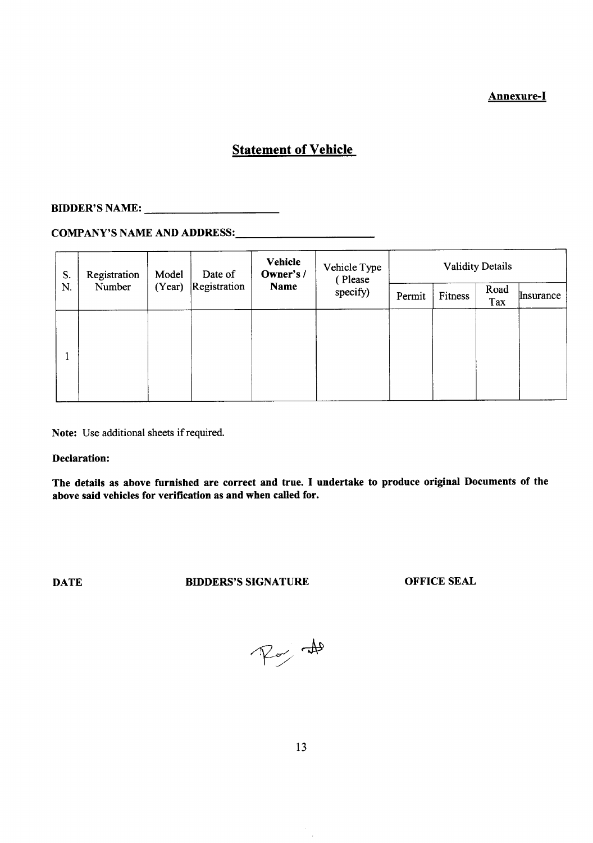## Annexure-I

# **Statement of Vehicle**

# BIDDER'S NAME: \_

# COMPANY'S NAME AND ADDRESS: \_

| S.<br>N. | Registration<br>Number | Model<br>(Year) | Date of<br>Registration | <b>Vehicle</b><br>Owner's /<br>Name | Vehicle Type<br>(Please<br>specify) | <b>Validity Details</b> |         |             |           |
|----------|------------------------|-----------------|-------------------------|-------------------------------------|-------------------------------------|-------------------------|---------|-------------|-----------|
|          |                        |                 |                         |                                     |                                     | Permit                  | Fitness | Road<br>Tax | Insurance |
|          |                        |                 |                         |                                     |                                     |                         |         |             |           |
|          |                        |                 |                         |                                     |                                     |                         |         |             |           |
|          |                        |                 |                         |                                     |                                     |                         |         |             |           |
|          |                        |                 |                         |                                     |                                     |                         |         |             |           |

Note: Use additional sheets if required.

Declaration:

The details as above furnished are correct and true. I undertake to produce original Documents of the above said vehicles for verification as and when called for.

**DATE BIDDERS'S SIGNATURE OFFICE SEAL** 

 $\approx 1$ 

 $\hat{\boldsymbol{\cdot} }$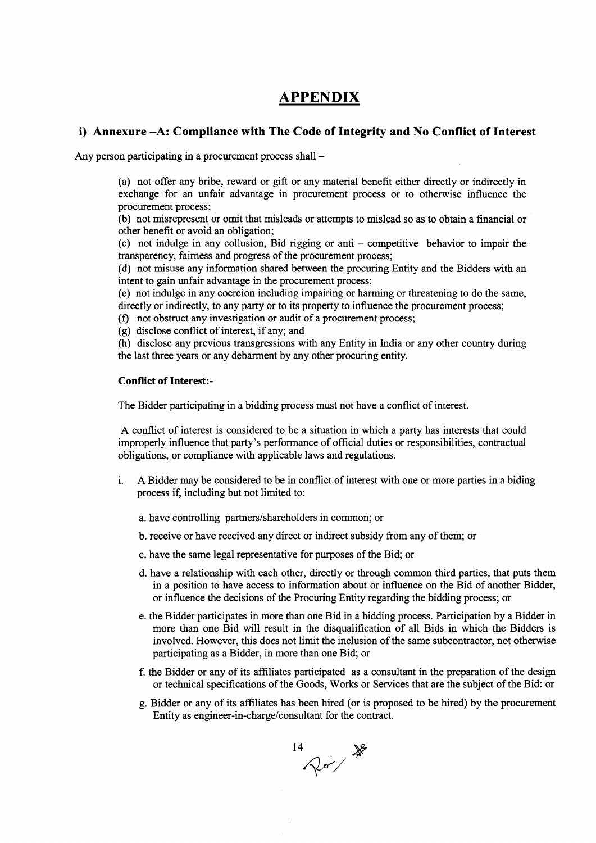# **APPENDIX**

#### **i) Annexure -A: Compliance with The Code of Integrity and No Conflict of Interest**

Any person participating in a procurement process shall -

(a) not offer any bribe, reward or gift or any material benefit either directly or indirectly in exchange for an unfair advantage in procurement process or to otherwise influence the procurement process;

(b) not misrepresent or omit that misleads or attempts to mislead so as to obtain a financial or other benefit or avoid an obligation;

(c) not indulge in any collusion, Bid rigging or anti - competitive behavior to impair the transparency, fairness and progress of the procurement process;

(d) not misuse any information shared between the procuring Entity and the Bidders with an intent to gain unfair advantage in the procurement process;

(e) not indulge in any coercion including impairing or harming or threatening to do the same, directly or indirectly, to any party or to its property to influence the procurement process;

- (f) not obstruct any investigation or audit of a procurement process;
- (g) disclose conflict of interest, if any; and

(h) disclose any previous transgressions with any Entity in India or any other country during the last three years or any debarment by any other procuring entity.

#### **Conflict of Interest:-**

The Bidder participating in a bidding process must not have a conflict of interest.

A conflict of interest is considered to be a situation in which a party has interests that could improperly influence that party's performance of official duties or responsibilities, contractual obligations, or compliance with applicable laws and regulations.

- i. A Bidder may be considered to be in conflict of interest with one or more parties in a biding process if, including but not limited to:
	- a. have controlling partners/shareholders in common; or
	- b. receive or have received any direct or indirect subsidy from any of them; or
	- c. have the same legal representative for purposes of the Bid; or
	- d. have a relationship with each other, directly or through common third parties, that puts them in a position to have access to information about or influence on the Bid of another Bidder, or influence the decisions of the Procuring Entity regarding the bidding process; or
	- e. the Bidder participates in more than one Bid in a bidding process. Participation by a Bidder in more than one Bid will result in the disqualification of all Bids in which the Bidders is involved. However, this does not limit the inclusion of the same subcontractor, not otherwise participating as a Bidder, in more than one Bid; or
	- f. the Bidder or any of its affiliates participated as a consultant in the preparation of the design or technical specifications of the Goods, Works or Services that are the subject of the Bid: or
	- g. Bidder or any of its affiliates has been hired (or is proposed to be hired) by the procurement Entity as engineer-in-charge/consultant for the contract.

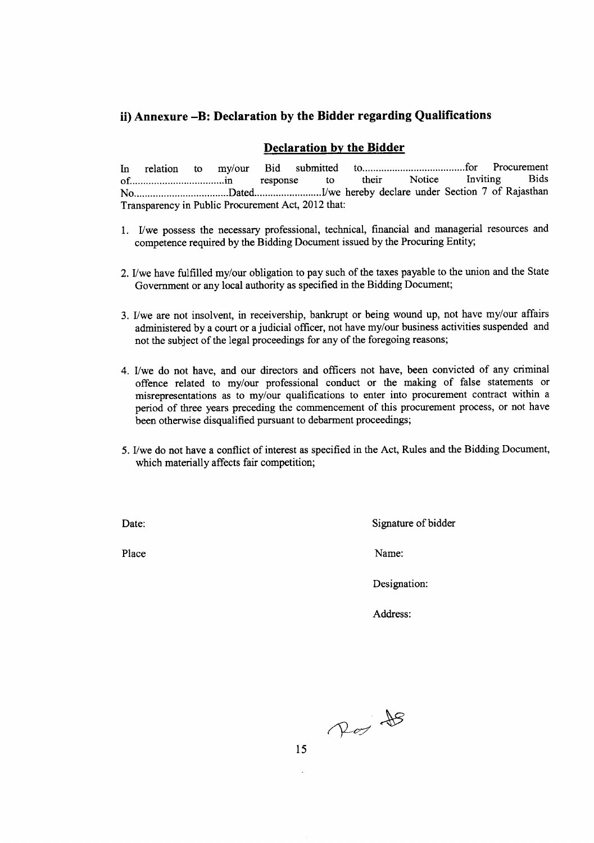# **ii) Annexure -B: Declaration by the Bidder regarding Qualifications**

### **Declaration by the Bidder**

In relation to my/our Bid submitted to for their Notice Inviting Bids of .in response to their Notice Inviting Bids No Dated I1wehereby declare under Section 7 of Rajasthan Transparency in Public Procurement Act, 2012 that:

- 1. I/we possess the necessary professional, technical, financial and managerial resources and competence required by the Bidding Document issued by the Procuring Entity;
- 2. I/we have fulfilled my/our obligation to pay such of the taxes payable to the union and the State Government or any local authority as specified in the Bidding Document;
- 3. I/we are not insolvent, in receivership, bankrupt or being wound up, not have my/our affairs administered by a court or a judicial officer, not have my/our business activities suspended and not the subject of the legal proceedings for any of the foregoing reasons;
- 4. I/we do not have, and our directors and officers not have, been convicted of any criminal offence related to my/our professional conduct or the making of false statements or misrepresentations as to my/our qualifications to enter into procurement contract within a period of three years preceding the commencement of this procurement process, or not have been otherwise disqualified pursuant to debarment proceedings;
- 5. I/we do not have a conflict of interest as specified in the Act, Rules and the Bidding Document, which materially affects fair competition;

Date: Signature of bidder

Place Name:

Designation:

Address:

Por 18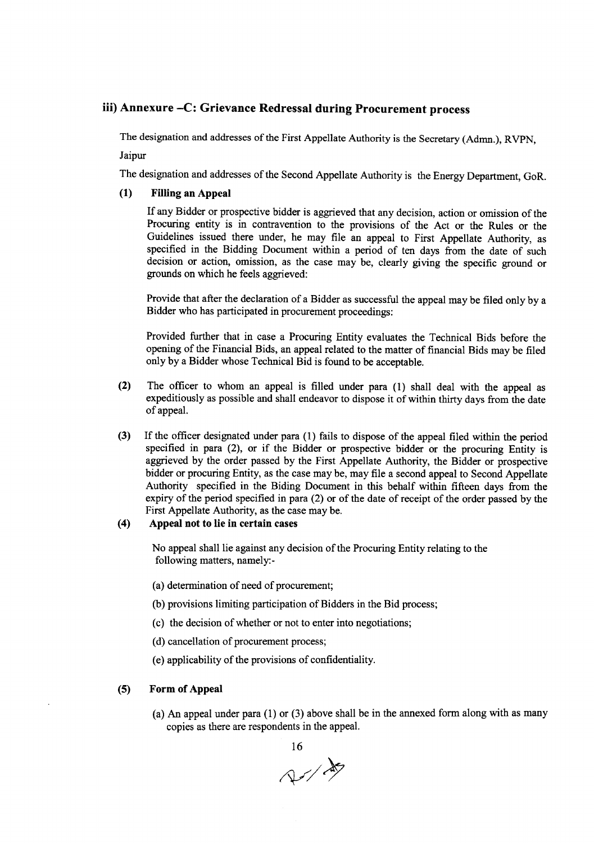#### iii) Annexure -C: Grievance Redressal during Procurement process

The designation and addresses of the First Appellate Authority is the Secretary (Admn.), RVPN,

Jaipur

The designation and addresses of the Second Appellate Authority is the Energy Department, GoR.

#### (1) Fillingan Appeal

If any Bidder or prospective bidder is aggrieved that any decision, action or omission of the Procuring entity is in contravention to the provisions of the Act or the Rules or the Guidelines issued there under, he may file an appeal to First Appellate Authority, as specified in the Bidding Document within a period of ten days from the date of such decision or action, omission, as the case may be, clearly giving the specific ground or grounds on which he feels aggrieved:

Provide that after the declaration of a Bidder as successful the appeal may be filed only by a Bidder who has participated in procurement proceedings:

Provided further that in case a Procuring Entity evaluates the Technical Bids before the opening of the Financial Bids, an appeal related to the matter of financial Bids may be filed only by a Bidder whose Technical Bid is found to be acceptable.

- (2) The officer to whom an appeal is filled under para (1) shall deal with the appeal as expeditiously as possible and shall endeavor to dispose it of within thirty days from the date of appeal.
- (3) If the officer designated under para (1) fails to dispose of the appeal filed within the period specified in para (2), or if the Bidder or prospective bidder or the procuring Entity is aggrieved by the order passed by the First Appellate Authority, the Bidder or prospective bidder or procuring Entity, as the case may be, may file a second appeal to Second Appellate Authority specified in the Biding Document in this behalf within fifteen days from the expiry of the period specified in para (2) or of the date of receipt of the order passed by the First Appellate Authority, as the case may be.

#### (4) Appeal not to lie in certain cases

No appeal shall lie against any decision of the Procuring Entity relating to the following matters, namely:-

- (a) determination of need of procurement;
- (b) provisions limiting participation of Bidders in the Bid process;
- (c) the decision of whether or not to enterinto negotiations;
- (d) cancellation of procurement process;
- (e) applicabilityof the provisions of confidentiality.

#### (5) Form of Appeal

(a) An appeal under para (1) or (3) above shall be in the annexed form along with as many copies as there are respondents in the appeal.



 $\sim$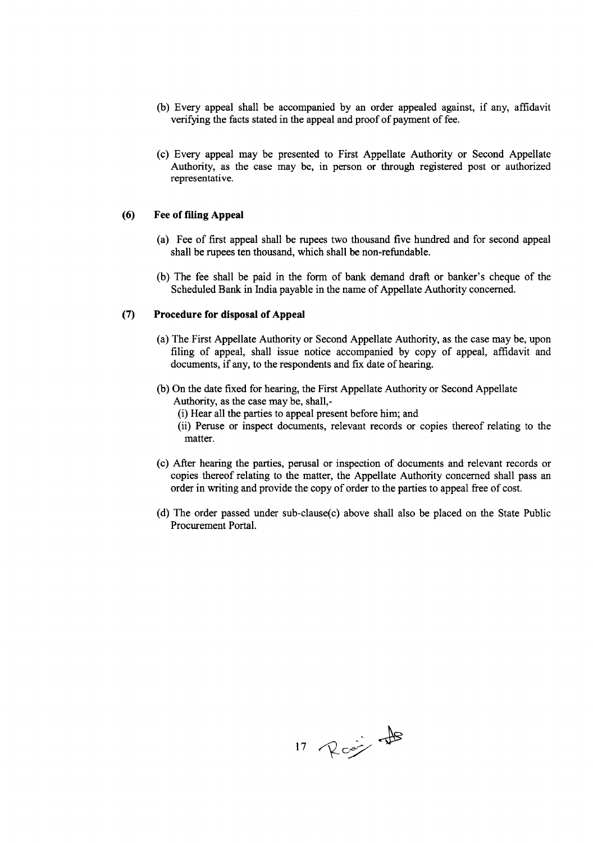- (b) Every appeal shall be accompanied by an order appealed against, if any, affidavit verifying the facts stated in the appeal and proof of payment of fee.
- (c) Every appeal may be presented to First Appellate Authority or Second Appellate Authority, as the case may be, in person or through registered post or authorized representative.

#### **(6) Fee** of filing **Appeal**

- (a) Fee of first appeal shall be rupees two thousand five hundred and for second appeal shall be rupees ten thousand, which shall be non-refundable.
- (b) The fee shall be paid in the form of bank demand draft or banker's cheque of the Scheduled Bank in India payable in the name of Appellate Authority concerned.

#### **(7) Procedure for disposal of Appeal**

- (a) The First Appellate Authority or Second Appellate Authority, as the case may be, upon filing of appeal, shall issue notice accompanied by copy of appeal, affidavit and documents, if any, to the respondents and fix date of hearing.
- (b) On the date fixed for hearing, the First Appellate Authority or Second Appellate Authority, as the case may be, shall,-
	- (i) Hear all the parties to appeal present before him; and
	- (ii) Peruse or inspect documents, relevant records or copies thereof relating to the matter.
- (c) After hearing the parties, perusal or inspection of documents and relevant records or copies thereof relating to the matter, the Appellate Authority concerned shall pass an order in writing and provide the copy of order to the parties to appeal free of cost.
- (d) The order passed under sub-c1ause(c) above shall also be placed on the State Public Procurement Portal.

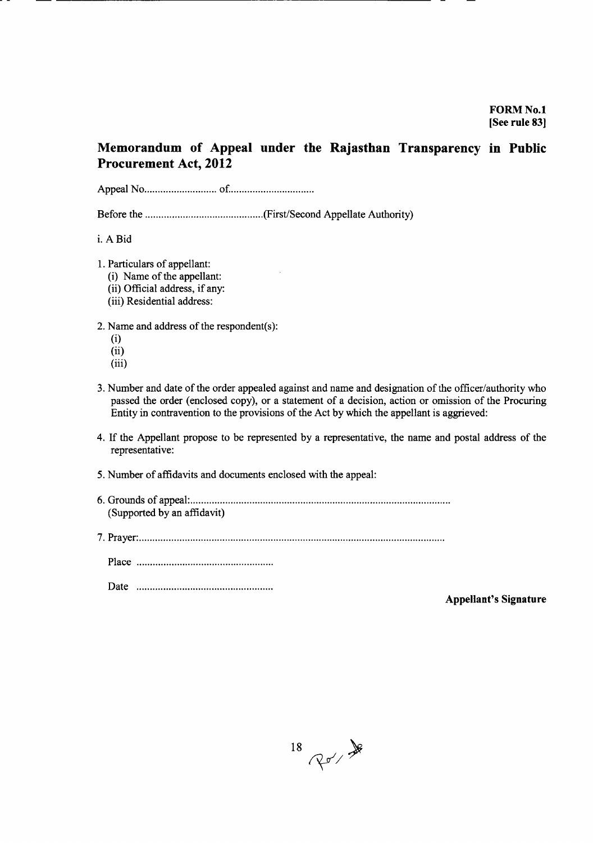# **Memorandum of Appeal under the Rajasthan Transparency in Public Procurement Act, 2012**

Appeal No of .

Before the (First/Second Appellate Authority)

i. A Bid

- 1. Particulars of appellant:
	- (i) Name of the appellant:
	- (ii) Official address, if any:
	- (iii) Residential address:
- 2. Name and address of the respondent(s):
	- (i)
	- (ii)
	- (iii)
- 3. Number and date of the order appealed against and name and designation of the officer/authority who passed the order (enclosed copy), or a statement of a decision, action or omission of the Procuring Entity in contravention to the provisions of the Act by which the appellant is aggrieved:
- 4. If the Appellant propose to be represented by a representative, the name and postal address of the representative:
- 5. Number of affidavits and documents enclosed with the appeal:
- 6. Grounds of appeal: . (Supported by an affidavit)
- 7. Prayer: .

Place .

Date .

**Appellant's Signature**

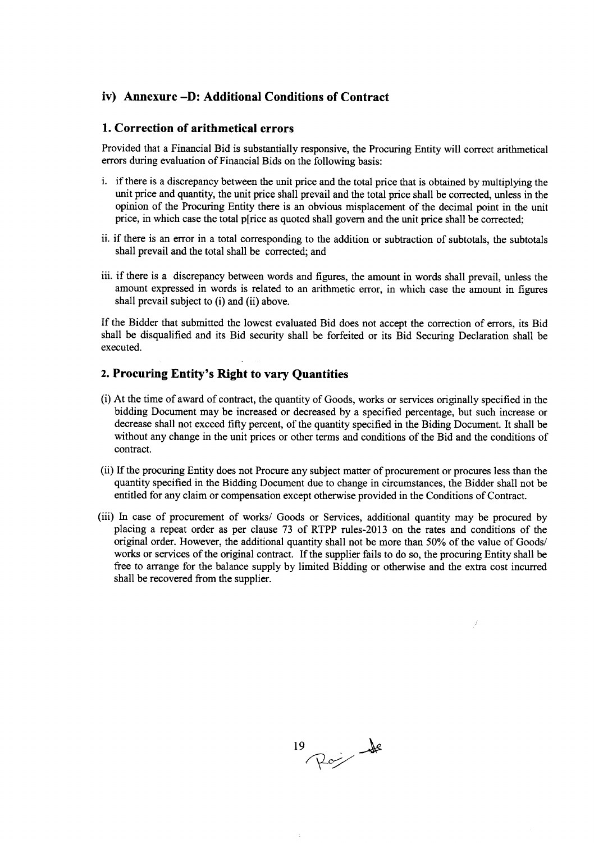## **iv) Annexure -D: Additional Conditions of Contract**

#### **1. Correction of arithmetical errors**

Provided that a Financial Bid is substantially responsive, the Procuring Entity will correct arithmetical errors during evaluation of Financial Bids on the following basis:

- 1. if there is a discrepancy between the unit price and the total price that is obtained by multiplying the unit price and quantity, the unit price shall prevail and the total price shall be corrected, unless in the opinion of the Procuring Entity there is an obvious misplacement of the decimal point in the unit price, in which case the total p[rice as quoted shall govern and the unit price shall be corrected;
- ii. if there is an error in a total corresponding to the addition or subtraction of subtotals, the subtotals shall prevail and the total shall be corrected; and
- iii. if there is a discrepancy between words and figures, the amount in words shall prevail, unless the amount expressed in words is related to an arithmetic error, in which case the amount in figures shall prevail subject to (i) and (ii) above.

If the Bidder that submitted the lowest evaluated Bid does not accept the correction of errors, its Bid shall be disqualified and its Bid security shall be forfeited or its Bid Securing Declaration shall be executed.

#### **2. Procuring Entity's Right to vary Quantities**

- (i) At the time of award of contract, the quantity of Goods, works or services originally specified in the bidding Document may be increased or decreased by a specified percentage, but such increase or decrease shall not exceed fifty percent, of the quantity specified in the Biding Document. It shall be without any change in the unit prices or other terms and conditions of the Bid and the conditions of contract.
- (ii) If the procuring Entity does not Procure any subject matter of procurement or procures less than the quantity specified in the Bidding Document due to change in circumstances, the Bidder shall not be entitled for any claim or compensation except otherwise provided in the Conditions of Contract.
- (iii) In case of procurement of works/ Goods or Services, additional quantity may be procured by placing a repeat order as per clause 73 of RTPP rules-2013 on the rates and conditions of the original order. However, the additional quantity shall not be more than 50% of the value of Goods/ works or services of the original contract. If the supplier fails to do so, the procuring Entity shall be free to arrange for the balance supply by limited Bidding or otherwise and the extra cost incurred shall be recovered from the supplier.

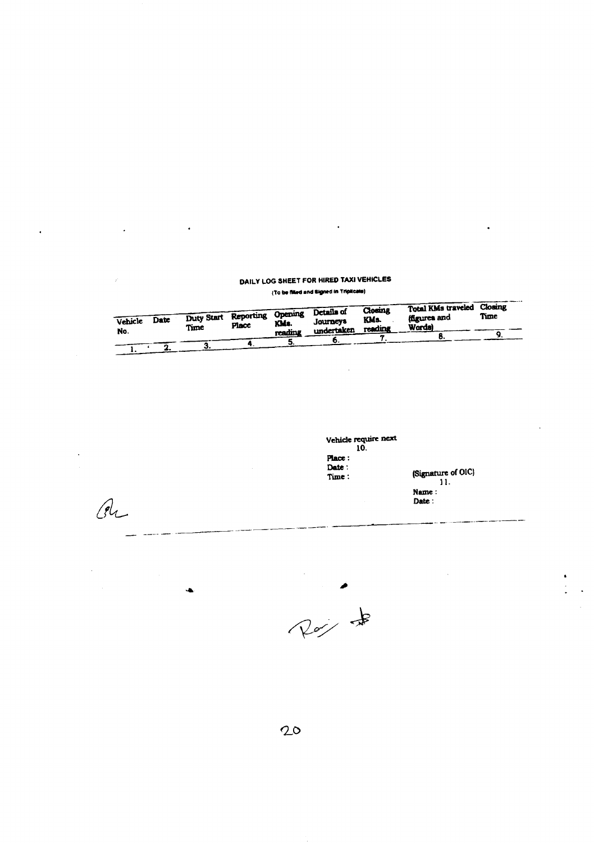# DAILY LOG SHEET FOR HIRED TAXI VEHICLES

 $\ddot{\phantom{0}}$ 

(To be filled and Signed in Triplicate)

| Vehicle<br>No. | Date | Duty Start Reporting Opening -<br>Time | Place | KMs.<br>reading | Details of<br><b>Journeys</b><br>undertaken | Closing<br>KMs.<br>reading | Total KMs traveled<br>forures and<br><b>Words</b> | Closing<br>Time |  |
|----------------|------|----------------------------------------|-------|-----------------|---------------------------------------------|----------------------------|---------------------------------------------------|-----------------|--|
|                |      |                                        |       |                 |                                             |                            |                                                   |                 |  |

Vehicle require next 10. Place : Date :<br>Time :

(Signature of OlC) 11. Name: Date:

- \_,-\_.--- -----------. -------- ---~---.--.--- ---,•..,\_-------

 $\ddot{\phantom{0}}$ 

 $\ddot{\phantom{0}}$ 

 $P_{\alpha}$  +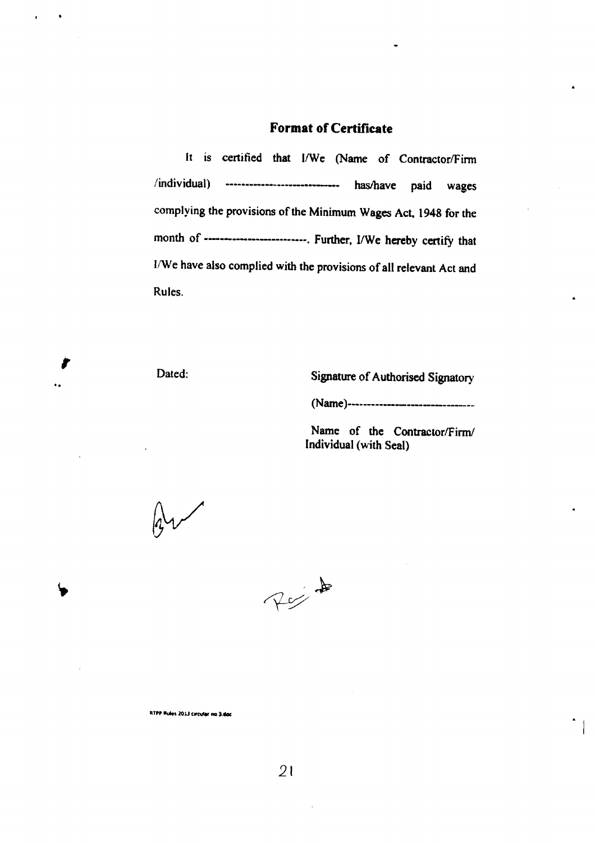# **Format of Certificate**

It is certified that I/We (Name of Contractor/Firm /individual) ------------------------------ has/have paid wages complying the provisions of the Minimum Wages Act, 1948 for the month of ------------------------... Further, I/We hereby certify that I/We have also complied with the provisions of all relevant Act and Rules.

*r*

..

Dated: Signature of Authorised Signatory

(Name)----------------------------------

Name of the Contractor/Firm/ Individual (with Seal)



RTPP Rules 2013 carcular no 3.doc